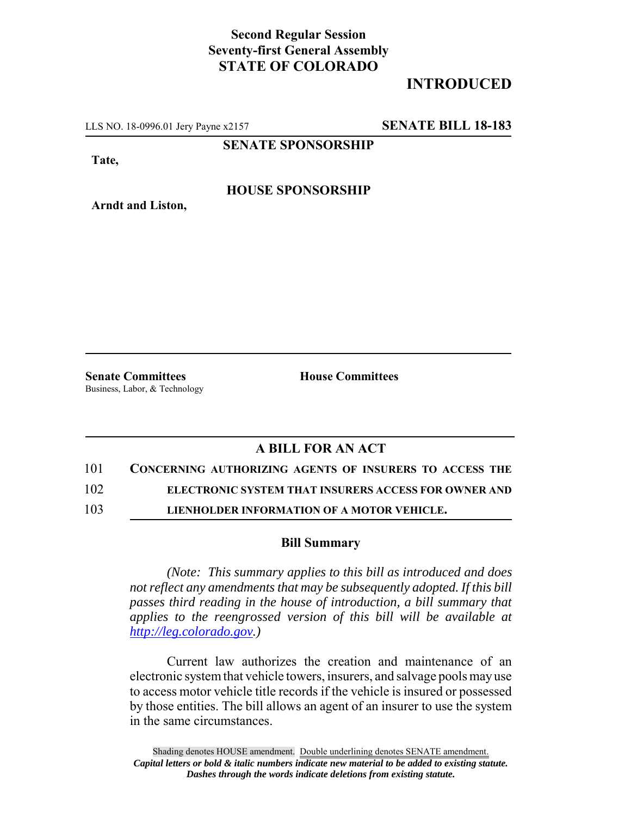## **Second Regular Session Seventy-first General Assembly STATE OF COLORADO**

# **INTRODUCED**

LLS NO. 18-0996.01 Jery Payne x2157 **SENATE BILL 18-183**

**SENATE SPONSORSHIP**

**Tate,**

### **HOUSE SPONSORSHIP**

**Senate Committees House Committees** Business, Labor, & Technology

**Arndt and Liston,**

### **A BILL FOR AN ACT**

101 **CONCERNING AUTHORIZING AGENTS OF INSURERS TO ACCESS THE**

102 **ELECTRONIC SYSTEM THAT INSURERS ACCESS FOR OWNER AND**

103 **LIENHOLDER INFORMATION OF A MOTOR VEHICLE.**

#### **Bill Summary**

*(Note: This summary applies to this bill as introduced and does not reflect any amendments that may be subsequently adopted. If this bill passes third reading in the house of introduction, a bill summary that applies to the reengrossed version of this bill will be available at http://leg.colorado.gov.)*

Current law authorizes the creation and maintenance of an electronic system that vehicle towers, insurers, and salvage pools may use to access motor vehicle title records if the vehicle is insured or possessed by those entities. The bill allows an agent of an insurer to use the system in the same circumstances.